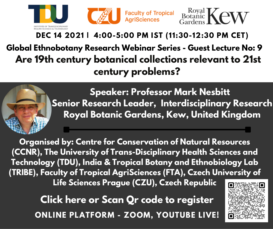

## **DEC 14 2021 | 4:00-5:00 PM IST (11:30-12:30 PM CET) Global Ethnobotany Research Webinar Series - Guest Lecture No: 9 Are 19th century botanical collections relevant to 21st century problems?**



**Speaker: Professor Mark Nesbitt Senior Research Leader, Interdisciplinary Research Royal Botanic Gardens, Kew, United Kingdom**

**Organised by: Centre for Conservation of Natural Resources (CCNR), The University of Trans-Disciplinary Health Sciences and Technology (TDU), India & Tropical Botany and Ethnobiology Lab (TRIBE), Faculty of Tropical AgriSciences (FTA), Czech University of Life Sciences Prague (CZU), Czech Republic**

> **ONLINE PLATFORM - ZOOM, YOUTUBE LIVE! [Click](https://forms.gle/JG4E7YEKNTGGW7cS9) here or Scan Qr code to register**